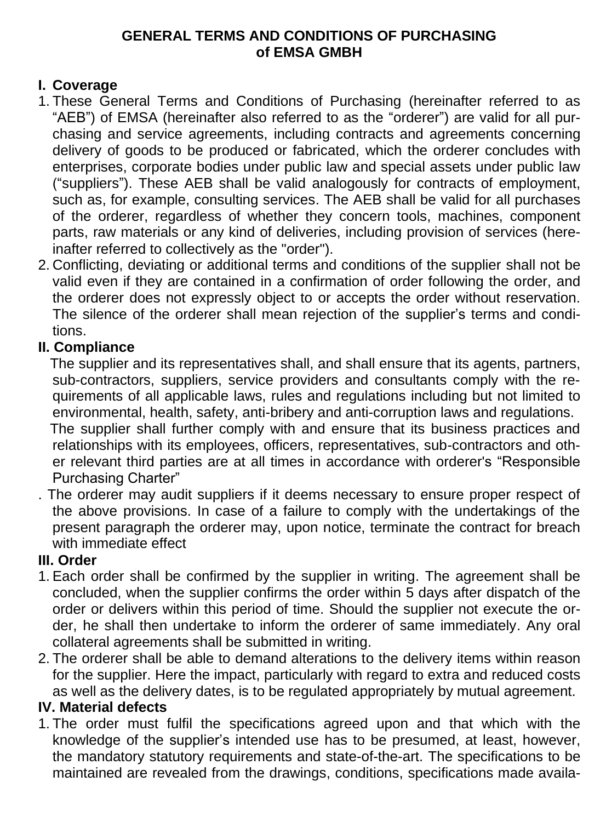### **GENERAL TERMS AND CONDITIONS OF PURCHASING of EMSA GMBH**

## **I. Coverage**

- 1. These General Terms and Conditions of Purchasing (hereinafter referred to as "AEB") of EMSA (hereinafter also referred to as the "orderer") are valid for all purchasing and service agreements, including contracts and agreements concerning delivery of goods to be produced or fabricated, which the orderer concludes with enterprises, corporate bodies under public law and special assets under public law ("suppliers"). These AEB shall be valid analogously for contracts of employment, such as, for example, consulting services. The AEB shall be valid for all purchases of the orderer, regardless of whether they concern tools, machines, component parts, raw materials or any kind of deliveries, including provision of services (hereinafter referred to collectively as the "order").
- 2. Conflicting, deviating or additional terms and conditions of the supplier shall not be valid even if they are contained in a confirmation of order following the order, and the orderer does not expressly object to or accepts the order without reservation. The silence of the orderer shall mean rejection of the supplier's terms and conditions.

## **II. Compliance**

 The supplier and its representatives shall, and shall ensure that its agents, partners, sub-contractors, suppliers, service providers and consultants comply with the requirements of all applicable laws, rules and regulations including but not limited to environmental, health, safety, anti-bribery and anti-corruption laws and regulations. The supplier shall further comply with and ensure that its business practices and relationships with its employees, officers, representatives, sub-contractors and oth-

er relevant third parties are at all times in accordance with orderer's "Responsible Purchasing Charter"

. The orderer may audit suppliers if it deems necessary to ensure proper respect of the above provisions. In case of a failure to comply with the undertakings of the present paragraph the orderer may, upon notice, terminate the contract for breach with immediate effect

# **III. Order**

- 1. Each order shall be confirmed by the supplier in writing. The agreement shall be concluded, when the supplier confirms the order within 5 days after dispatch of the order or delivers within this period of time. Should the supplier not execute the order, he shall then undertake to inform the orderer of same immediately. Any oral collateral agreements shall be submitted in writing.
- 2. The orderer shall be able to demand alterations to the delivery items within reason for the supplier. Here the impact, particularly with regard to extra and reduced costs as well as the delivery dates, is to be regulated appropriately by mutual agreement.

# **IV. Material defects**

1. The order must fulfil the specifications agreed upon and that which with the knowledge of the supplier's intended use has to be presumed, at least, however, the mandatory statutory requirements and state-of-the-art. The specifications to be maintained are revealed from the drawings, conditions, specifications made availa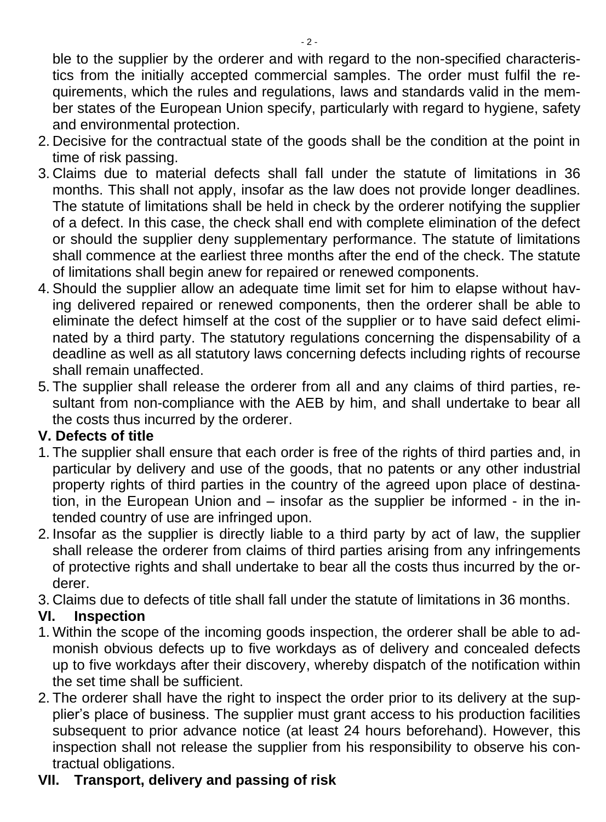ble to the supplier by the orderer and with regard to the non-specified characteristics from the initially accepted commercial samples. The order must fulfil the requirements, which the rules and regulations, laws and standards valid in the member states of the European Union specify, particularly with regard to hygiene, safety and environmental protection.

- 2. Decisive for the contractual state of the goods shall be the condition at the point in time of risk passing.
- 3. Claims due to material defects shall fall under the statute of limitations in 36 months. This shall not apply, insofar as the law does not provide longer deadlines. The statute of limitations shall be held in check by the orderer notifying the supplier of a defect. In this case, the check shall end with complete elimination of the defect or should the supplier deny supplementary performance. The statute of limitations shall commence at the earliest three months after the end of the check. The statute of limitations shall begin anew for repaired or renewed components.
- 4. Should the supplier allow an adequate time limit set for him to elapse without having delivered repaired or renewed components, then the orderer shall be able to eliminate the defect himself at the cost of the supplier or to have said defect eliminated by a third party. The statutory regulations concerning the dispensability of a deadline as well as all statutory laws concerning defects including rights of recourse shall remain unaffected.
- 5. The supplier shall release the orderer from all and any claims of third parties, resultant from non-compliance with the AEB by him, and shall undertake to bear all the costs thus incurred by the orderer.

# **V. Defects of title**

- 1. The supplier shall ensure that each order is free of the rights of third parties and, in particular by delivery and use of the goods, that no patents or any other industrial property rights of third parties in the country of the agreed upon place of destination, in the European Union and – insofar as the supplier be informed - in the intended country of use are infringed upon.
- 2. Insofar as the supplier is directly liable to a third party by act of law, the supplier shall release the orderer from claims of third parties arising from any infringements of protective rights and shall undertake to bear all the costs thus incurred by the orderer.
- 3. Claims due to defects of title shall fall under the statute of limitations in 36 months.

# **VI. Inspection**

- 1. Within the scope of the incoming goods inspection, the orderer shall be able to admonish obvious defects up to five workdays as of delivery and concealed defects up to five workdays after their discovery, whereby dispatch of the notification within the set time shall be sufficient.
- 2. The orderer shall have the right to inspect the order prior to its delivery at the supplier's place of business. The supplier must grant access to his production facilities subsequent to prior advance notice (at least 24 hours beforehand). However, this inspection shall not release the supplier from his responsibility to observe his contractual obligations.

# **VII. Transport, delivery and passing of risk**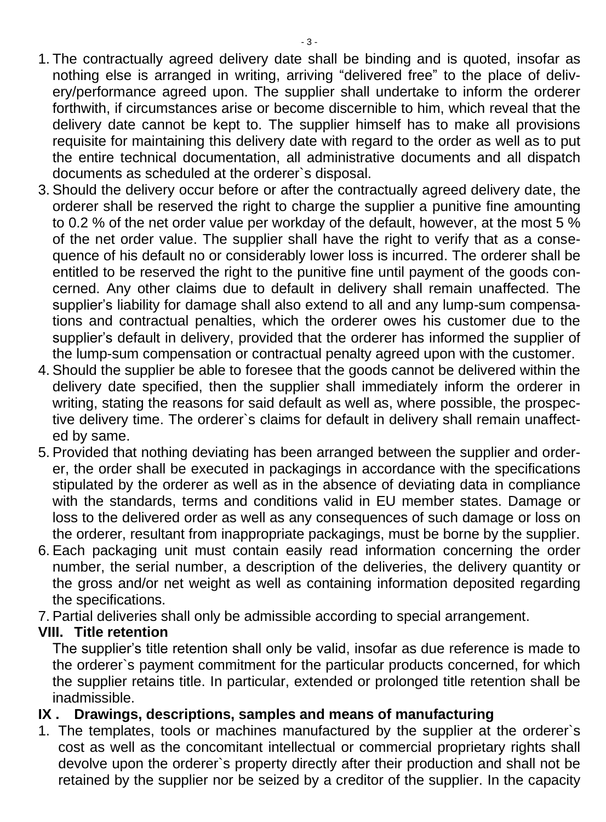- 1. The contractually agreed delivery date shall be binding and is quoted, insofar as nothing else is arranged in writing, arriving "delivered free" to the place of delivery/performance agreed upon. The supplier shall undertake to inform the orderer forthwith, if circumstances arise or become discernible to him, which reveal that the delivery date cannot be kept to. The supplier himself has to make all provisions requisite for maintaining this delivery date with regard to the order as well as to put the entire technical documentation, all administrative documents and all dispatch documents as scheduled at the orderer`s disposal.
- 3. Should the delivery occur before or after the contractually agreed delivery date, the orderer shall be reserved the right to charge the supplier a punitive fine amounting to 0.2 % of the net order value per workday of the default, however, at the most 5 % of the net order value. The supplier shall have the right to verify that as a consequence of his default no or considerably lower loss is incurred. The orderer shall be entitled to be reserved the right to the punitive fine until payment of the goods concerned. Any other claims due to default in delivery shall remain unaffected. The supplier's liability for damage shall also extend to all and any lump-sum compensations and contractual penalties, which the orderer owes his customer due to the supplier's default in delivery, provided that the orderer has informed the supplier of the lump-sum compensation or contractual penalty agreed upon with the customer.
- 4. Should the supplier be able to foresee that the goods cannot be delivered within the delivery date specified, then the supplier shall immediately inform the orderer in writing, stating the reasons for said default as well as, where possible, the prospective delivery time. The orderer`s claims for default in delivery shall remain unaffected by same.
- 5. Provided that nothing deviating has been arranged between the supplier and orderer, the order shall be executed in packagings in accordance with the specifications stipulated by the orderer as well as in the absence of deviating data in compliance with the standards, terms and conditions valid in EU member states. Damage or loss to the delivered order as well as any consequences of such damage or loss on the orderer, resultant from inappropriate packagings, must be borne by the supplier.
- 6. Each packaging unit must contain easily read information concerning the order number, the serial number, a description of the deliveries, the delivery quantity or the gross and/or net weight as well as containing information deposited regarding the specifications.
- 7. Partial deliveries shall only be admissible according to special arrangement.

### **VIII. Title retention**

The supplier's title retention shall only be valid, insofar as due reference is made to the orderer`s payment commitment for the particular products concerned, for which the supplier retains title. In particular, extended or prolonged title retention shall be inadmissible.

### **IX . Drawings, descriptions, samples and means of manufacturing**

1. The templates, tools or machines manufactured by the supplier at the orderer`s cost as well as the concomitant intellectual or commercial proprietary rights shall devolve upon the orderer`s property directly after their production and shall not be retained by the supplier nor be seized by a creditor of the supplier. In the capacity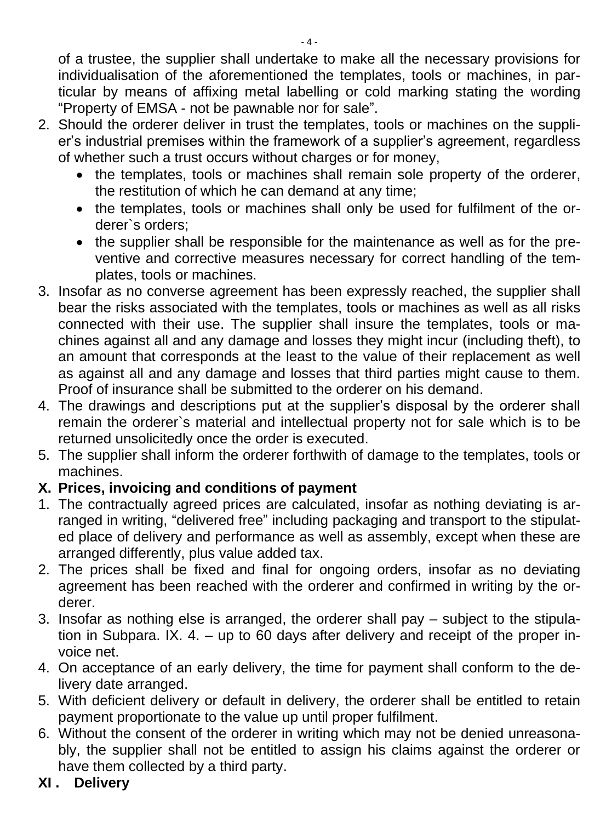of a trustee, the supplier shall undertake to make all the necessary provisions for individualisation of the aforementioned the templates, tools or machines, in particular by means of affixing metal labelling or cold marking stating the wording "Property of EMSA - not be pawnable nor for sale".

- 2. Should the orderer deliver in trust the templates, tools or machines on the supplier's industrial premises within the framework of a supplier's agreement, regardless of whether such a trust occurs without charges or for money,
	- the templates, tools or machines shall remain sole property of the orderer, the restitution of which he can demand at any time;
	- the templates, tools or machines shall only be used for fulfilment of the orderer`s orders;
	- the supplier shall be responsible for the maintenance as well as for the preventive and corrective measures necessary for correct handling of the templates, tools or machines.
- 3. Insofar as no converse agreement has been expressly reached, the supplier shall bear the risks associated with the templates, tools or machines as well as all risks connected with their use. The supplier shall insure the templates, tools or machines against all and any damage and losses they might incur (including theft), to an amount that corresponds at the least to the value of their replacement as well as against all and any damage and losses that third parties might cause to them. Proof of insurance shall be submitted to the orderer on his demand.
- 4. The drawings and descriptions put at the supplier's disposal by the orderer shall remain the orderer`s material and intellectual property not for sale which is to be returned unsolicitedly once the order is executed.
- 5. The supplier shall inform the orderer forthwith of damage to the templates, tools or machines.

# **X. Prices, invoicing and conditions of payment**

- 1. The contractually agreed prices are calculated, insofar as nothing deviating is arranged in writing, "delivered free" including packaging and transport to the stipulated place of delivery and performance as well as assembly, except when these are arranged differently, plus value added tax.
- 2. The prices shall be fixed and final for ongoing orders, insofar as no deviating agreement has been reached with the orderer and confirmed in writing by the orderer.
- 3. Insofar as nothing else is arranged, the orderer shall pay subject to the stipulation in Subpara. IX. 4. – up to 60 days after delivery and receipt of the proper invoice net.
- 4. On acceptance of an early delivery, the time for payment shall conform to the delivery date arranged.
- 5. With deficient delivery or default in delivery, the orderer shall be entitled to retain payment proportionate to the value up until proper fulfilment.
- 6. Without the consent of the orderer in writing which may not be denied unreasonably, the supplier shall not be entitled to assign his claims against the orderer or have them collected by a third party.
- **XI . Delivery**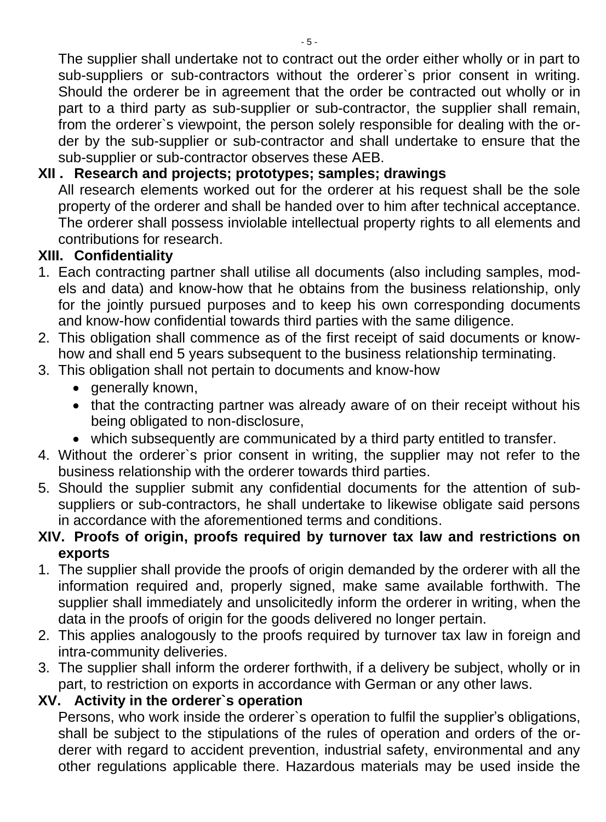The supplier shall undertake not to contract out the order either wholly or in part to sub-suppliers or sub-contractors without the orderer's prior consent in writing. Should the orderer be in agreement that the order be contracted out wholly or in part to a third party as sub-supplier or sub-contractor, the supplier shall remain, from the orderer`s viewpoint, the person solely responsible for dealing with the order by the sub-supplier or sub-contractor and shall undertake to ensure that the sub-supplier or sub-contractor observes these AEB.

# **XII . Research and projects; prototypes; samples; drawings**

All research elements worked out for the orderer at his request shall be the sole property of the orderer and shall be handed over to him after technical acceptance. The orderer shall possess inviolable intellectual property rights to all elements and contributions for research.

## **XIII. Confidentiality**

- 1. Each contracting partner shall utilise all documents (also including samples, models and data) and know-how that he obtains from the business relationship, only for the jointly pursued purposes and to keep his own corresponding documents and know-how confidential towards third parties with the same diligence.
- 2. This obligation shall commence as of the first receipt of said documents or knowhow and shall end 5 years subsequent to the business relationship terminating.
- 3. This obligation shall not pertain to documents and know-how
	- generally known,
	- that the contracting partner was already aware of on their receipt without his being obligated to non-disclosure,
	- which subsequently are communicated by a third party entitled to transfer.
- 4. Without the orderer`s prior consent in writing, the supplier may not refer to the business relationship with the orderer towards third parties.
- 5. Should the supplier submit any confidential documents for the attention of subsuppliers or sub-contractors, he shall undertake to likewise obligate said persons in accordance with the aforementioned terms and conditions.

### **XIV. Proofs of origin, proofs required by turnover tax law and restrictions on exports**

- 1. The supplier shall provide the proofs of origin demanded by the orderer with all the information required and, properly signed, make same available forthwith. The supplier shall immediately and unsolicitedly inform the orderer in writing, when the data in the proofs of origin for the goods delivered no longer pertain.
- 2. This applies analogously to the proofs required by turnover tax law in foreign and intra-community deliveries.
- 3. The supplier shall inform the orderer forthwith, if a delivery be subject, wholly or in part, to restriction on exports in accordance with German or any other laws.

### **XV. Activity in the orderer`s operation**

Persons, who work inside the orderer`s operation to fulfil the supplier's obligations, shall be subject to the stipulations of the rules of operation and orders of the orderer with regard to accident prevention, industrial safety, environmental and any other regulations applicable there. Hazardous materials may be used inside the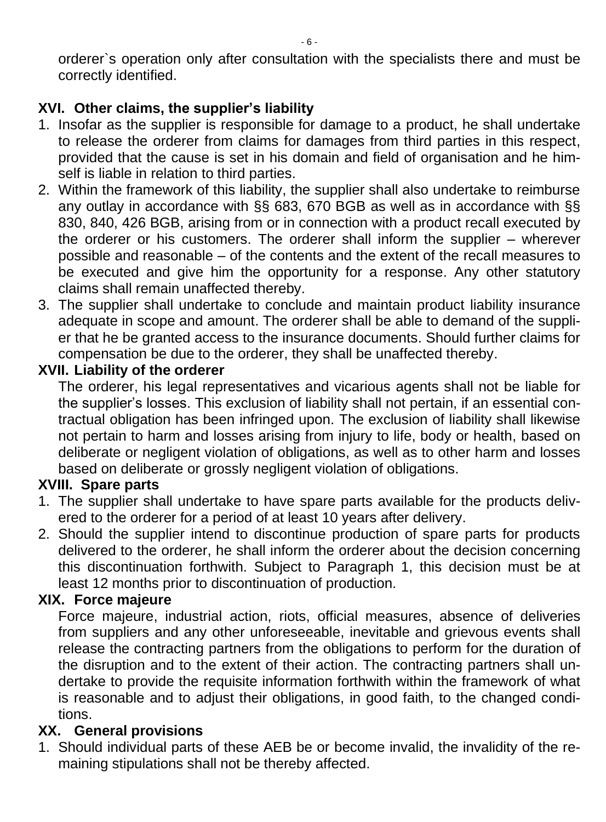orderer`s operation only after consultation with the specialists there and must be correctly identified.

# **XVI. Other claims, the supplier's liability**

- 1. Insofar as the supplier is responsible for damage to a product, he shall undertake to release the orderer from claims for damages from third parties in this respect, provided that the cause is set in his domain and field of organisation and he himself is liable in relation to third parties.
- 2. Within the framework of this liability, the supplier shall also undertake to reimburse any outlay in accordance with §§ 683, 670 BGB as well as in accordance with §§ 830, 840, 426 BGB, arising from or in connection with a product recall executed by the orderer or his customers. The orderer shall inform the supplier – wherever possible and reasonable – of the contents and the extent of the recall measures to be executed and give him the opportunity for a response. Any other statutory claims shall remain unaffected thereby.
- 3. The supplier shall undertake to conclude and maintain product liability insurance adequate in scope and amount. The orderer shall be able to demand of the supplier that he be granted access to the insurance documents. Should further claims for compensation be due to the orderer, they shall be unaffected thereby.

### **XVII. Liability of the orderer**

The orderer, his legal representatives and vicarious agents shall not be liable for the supplier's losses. This exclusion of liability shall not pertain, if an essential contractual obligation has been infringed upon. The exclusion of liability shall likewise not pertain to harm and losses arising from injury to life, body or health, based on deliberate or negligent violation of obligations, as well as to other harm and losses based on deliberate or grossly negligent violation of obligations.

### **XVIII. Spare parts**

- 1. The supplier shall undertake to have spare parts available for the products delivered to the orderer for a period of at least 10 years after delivery.
- 2. Should the supplier intend to discontinue production of spare parts for products delivered to the orderer, he shall inform the orderer about the decision concerning this discontinuation forthwith. Subject to Paragraph 1, this decision must be at least 12 months prior to discontinuation of production.

### **XIX. Force majeure**

Force majeure, industrial action, riots, official measures, absence of deliveries from suppliers and any other unforeseeable, inevitable and grievous events shall release the contracting partners from the obligations to perform for the duration of the disruption and to the extent of their action. The contracting partners shall undertake to provide the requisite information forthwith within the framework of what is reasonable and to adjust their obligations, in good faith, to the changed conditions.

#### **XX. General provisions**

1. Should individual parts of these AEB be or become invalid, the invalidity of the remaining stipulations shall not be thereby affected.